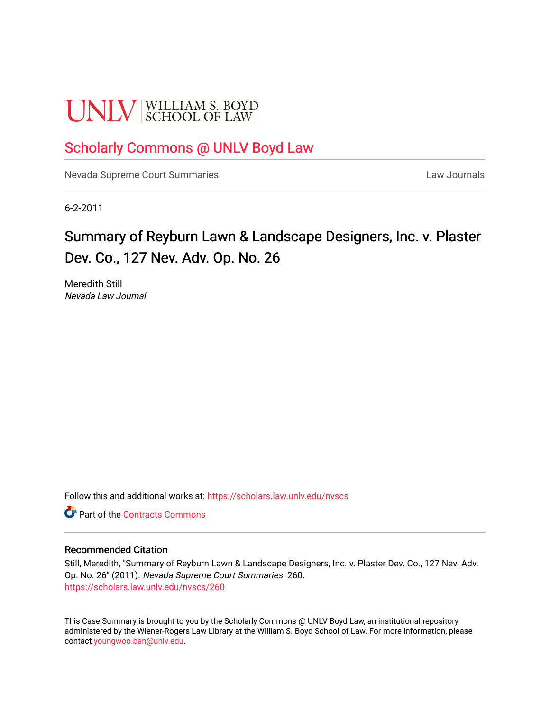# **UNLV** SCHOOL OF LAW

### [Scholarly Commons @ UNLV Boyd Law](https://scholars.law.unlv.edu/)

[Nevada Supreme Court Summaries](https://scholars.law.unlv.edu/nvscs) **Law Journals** Law Journals

6-2-2011

## Summary of Reyburn Lawn & Landscape Designers, Inc. v. Plaster Dev. Co., 127 Nev. Adv. Op. No. 26

Meredith Still Nevada Law Journal

Follow this and additional works at: [https://scholars.law.unlv.edu/nvscs](https://scholars.law.unlv.edu/nvscs?utm_source=scholars.law.unlv.edu%2Fnvscs%2F260&utm_medium=PDF&utm_campaign=PDFCoverPages)

**C**<sup> $\bullet$ </sup> Part of the [Contracts Commons](http://network.bepress.com/hgg/discipline/591?utm_source=scholars.law.unlv.edu%2Fnvscs%2F260&utm_medium=PDF&utm_campaign=PDFCoverPages)

#### Recommended Citation

Still, Meredith, "Summary of Reyburn Lawn & Landscape Designers, Inc. v. Plaster Dev. Co., 127 Nev. Adv. Op. No. 26" (2011). Nevada Supreme Court Summaries. 260. [https://scholars.law.unlv.edu/nvscs/260](https://scholars.law.unlv.edu/nvscs/260?utm_source=scholars.law.unlv.edu%2Fnvscs%2F260&utm_medium=PDF&utm_campaign=PDFCoverPages)

This Case Summary is brought to you by the Scholarly Commons @ UNLV Boyd Law, an institutional repository administered by the Wiener-Rogers Law Library at the William S. Boyd School of Law. For more information, please contact [youngwoo.ban@unlv.edu](mailto:youngwoo.ban@unlv.edu).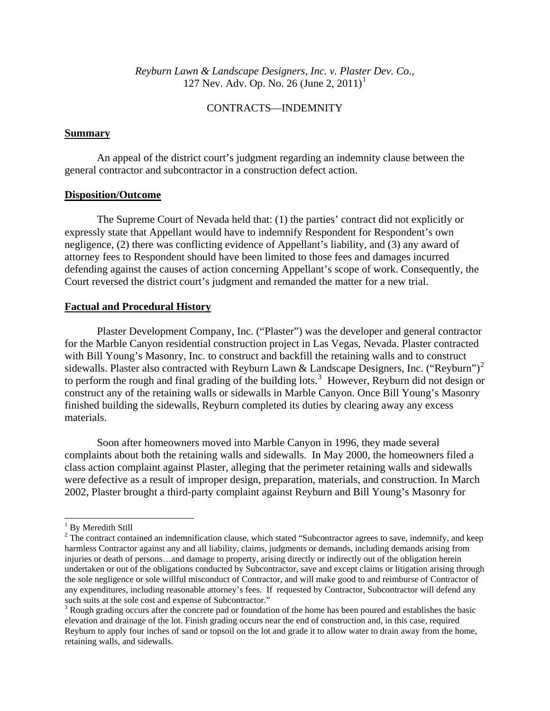*Reyburn Lawn & Landscape Designers, Inc. v. Plaster Dev. Co*., [1](#page-1-0)27 Nev. Adv. Op. No. 26 (June 2, 2011)<sup>1</sup>

#### CONTRACTS—INDEMNITY

#### **Summary**

 An appeal of the district court's judgment regarding an indemnity clause between the general contractor and subcontractor in a construction defect action.

#### **Disposition/Outcome**

 The Supreme Court of Nevada held that: (1) the parties' contract did not explicitly or expressly state that Appellant would have to indemnify Respondent for Respondent's own negligence, (2) there was conflicting evidence of Appellant's liability, and (3) any award of attorney fees to Respondent should have been limited to those fees and damages incurred defending against the causes of action concerning Appellant's scope of work. Consequently, the Court reversed the district court's judgment and remanded the matter for a new trial.

#### **Factual and Procedural History**

 Plaster Development Company, Inc. ("Plaster") was the developer and general contractor for the Marble Canyon residential construction project in Las Vegas, Nevada. Plaster contracted with Bill Young's Masonry, Inc. to construct and backfill the retaining walls and to construct sidewalls. Plaster also contracted with Reyburn Lawn & Landscape Designers, Inc. ("Reyburn")<sup>[2](#page-1-1)</sup> to perform the rough and final grading of the building lots.<sup>[3](#page-1-2)</sup> However, Reyburn did not design or construct any of the retaining walls or sidewalls in Marble Canyon. Once Bill Young's Masonry finished building the sidewalls, Reyburn completed its duties by clearing away any excess materials.

Soon after homeowners moved into Marble Canyon in 1996, they made several complaints about both the retaining walls and sidewalls. In May 2000, the homeowners filed a class action complaint against Plaster, alleging that the perimeter retaining walls and sidewalls were defective as a result of improper design, preparation, materials, and construction. In March 2002, Plaster brought a third-party complaint against Reyburn and Bill Young's Masonry for

 $\overline{\phantom{a}}$ 

<sup>&</sup>lt;sup>1</sup> By Meredith Still

<span id="page-1-1"></span><span id="page-1-0"></span> $2^2$  The contract contained an indemnification clause, which stated "Subcontractor agrees to save, indemnify, and keep harmless Contractor against any and all liability, claims, judgments or demands, including demands arising from injuries or death of persons…and damage to property, arising directly or indirectly out of the obligation herein undertaken or out of the obligations conducted by Subcontractor, save and except claims or litigation arising through the sole negligence or sole willful misconduct of Contractor, and will make good to and reimburse of Contractor of any expenditures, including reasonable attorney's fees. If requested by Contractor, Subcontractor will defend any such suits at the sole cost and expense of Subcontractor."

<span id="page-1-2"></span><sup>&</sup>lt;sup>3</sup> Rough grading occurs after the concrete pad or foundation of the home has been poured and establishes the basic elevation and drainage of the lot. Finish grading occurs near the end of construction and, in this case, required Reyburn to apply four inches of sand or topsoil on the lot and grade it to allow water to drain away from the home, retaining walls, and sidewalls.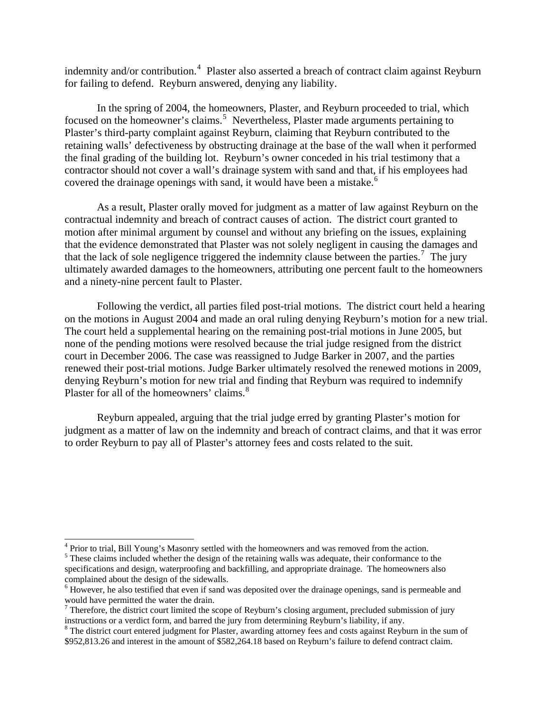indemnity and/or contribution.<sup>[4](#page-2-0)</sup> Plaster also asserted a breach of contract claim against Reyburn for failing to defend. Reyburn answered, denying any liability.

 In the spring of 2004, the homeowners, Plaster, and Reyburn proceeded to trial, which focused on the homeowner's claims.<sup>[5](#page-2-1)</sup> Nevertheless, Plaster made arguments pertaining to Plaster's third-party complaint against Reyburn, claiming that Reyburn contributed to the retaining walls' defectiveness by obstructing drainage at the base of the wall when it performed the final grading of the building lot. Reyburn's owner conceded in his trial testimony that a contractor should not cover a wall's drainage system with sand and that, if his employees had covered the drainage openings with sand, it would have been a mistake. $6$ 

As a result, Plaster orally moved for judgment as a matter of law against Reyburn on the contractual indemnity and breach of contract causes of action. The district court granted to motion after minimal argument by counsel and without any briefing on the issues, explaining that the evidence demonstrated that Plaster was not solely negligent in causing the damages and that the lack of sole negligence triggered the indemnity clause between the parties.<sup>[7](#page-2-3)</sup> The jury ultimately awarded damages to the homeowners, attributing one percent fault to the homeowners and a ninety-nine percent fault to Plaster.

Following the verdict, all parties filed post-trial motions. The district court held a hearing on the motions in August 2004 and made an oral ruling denying Reyburn's motion for a new trial. The court held a supplemental hearing on the remaining post-trial motions in June 2005, but none of the pending motions were resolved because the trial judge resigned from the district court in December 2006. The case was reassigned to Judge Barker in 2007, and the parties renewed their post-trial motions. Judge Barker ultimately resolved the renewed motions in 2009, denying Reyburn's motion for new trial and finding that Reyburn was required to indemnify Plaster for all of the homeowners' claims.<sup>[8](#page-2-4)</sup>

Reyburn appealed, arguing that the trial judge erred by granting Plaster's motion for judgment as a matter of law on the indemnity and breach of contract claims, and that it was error to order Reyburn to pay all of Plaster's attorney fees and costs related to the suit.

 $\overline{\phantom{a}}$ 

<span id="page-2-0"></span> $^{4}$  Prior to trial, Bill Young's Masonry settled with the homeowners and was removed from the action.

<span id="page-2-1"></span><sup>&</sup>lt;sup>5</sup> These claims included whether the design of the retaining walls was adequate, their conformance to the specifications and design, waterproofing and backfilling, and appropriate drainage. The homeowners also complained about the design of the sidewalls.

<span id="page-2-2"></span><sup>&</sup>lt;sup>6</sup> However, he also testified that even if sand was deposited over the drainage openings, sand is permeable and would have permitted the water the drain.

<span id="page-2-3"></span> $<sup>7</sup>$  Therefore, the district court limited the scope of Reyburn's closing argument, precluded submission of jury</sup> instructions or a verdict form, and barred the jury from determining Reyburn's liability, if any.

<span id="page-2-4"></span><sup>&</sup>lt;sup>8</sup> The district court entered judgment for Plaster, awarding attorney fees and costs against Reyburn in the sum of \$952,813.26 and interest in the amount of \$582,264.18 based on Reyburn's failure to defend contract claim.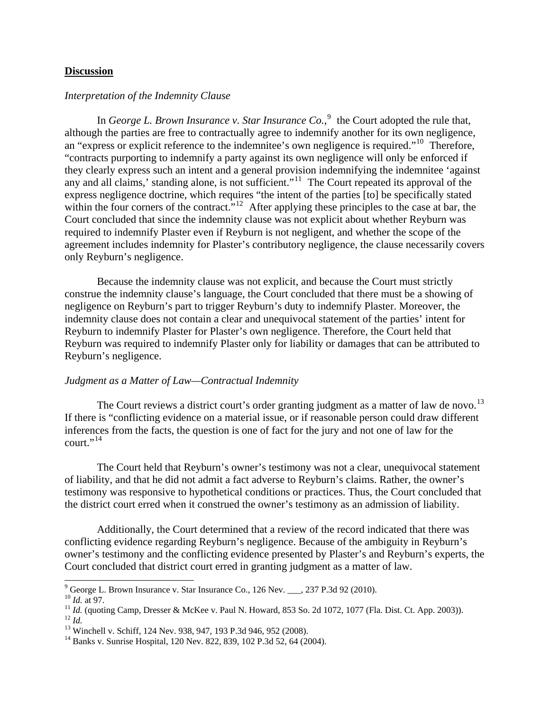#### **Discussion**

#### *Interpretation of the Indemnity Clause*

In *George L. Brown Insurance v. Star Insurance Co.*,  $\degree$  the Court adopted the rule that, although the parties are free to contractually agree to indemnify another for its own negligence, an "express or explicit reference to the indemnitee's own negligence is required."[10](#page-3-1) Therefore, "contracts purporting to indemnify a party against its own negligence will only be enforced if they clearly express such an intent and a general provision indemnifying the indemnitee 'against any and all claims,' standing alone, is not sufficient."<sup>[11](#page-3-2)</sup> The Court repeated its approval of the express negligence doctrine, which requires "the intent of the parties [to] be specifically stated within the four corners of the contract."<sup>[12](#page-3-3)</sup> After applying these principles to the case at bar, the Court concluded that since the indemnity clause was not explicit about whether Reyburn was required to indemnify Plaster even if Reyburn is not negligent, and whether the scope of the agreement includes indemnity for Plaster's contributory negligence, the clause necessarily covers only Reyburn's negligence.

 Because the indemnity clause was not explicit, and because the Court must strictly construe the indemnity clause's language, the Court concluded that there must be a showing of negligence on Reyburn's part to trigger Reyburn's duty to indemnify Plaster. Moreover, the indemnity clause does not contain a clear and unequivocal statement of the parties' intent for Reyburn to indemnify Plaster for Plaster's own negligence. Therefore, the Court held that Reyburn was required to indemnify Plaster only for liability or damages that can be attributed to Reyburn's negligence.

#### *Judgment as a Matter of Law—Contractual Indemnity*

The Court reviews a district court's order granting judgment as a matter of law de novo.<sup>[13](#page-3-4)</sup> If there is "conflicting evidence on a material issue, or if reasonable person could draw different inferences from the facts, the question is one of fact for the jury and not one of law for the  $court.$ <sup>"[14](#page-3-5)</sup>

The Court held that Reyburn's owner's testimony was not a clear, unequivocal statement of liability, and that he did not admit a fact adverse to Reyburn's claims. Rather, the owner's testimony was responsive to hypothetical conditions or practices. Thus, the Court concluded that the district court erred when it construed the owner's testimony as an admission of liability.

Additionally, the Court determined that a review of the record indicated that there was conflicting evidence regarding Reyburn's negligence. Because of the ambiguity in Reyburn's owner's testimony and the conflicting evidence presented by Plaster's and Reyburn's experts, the Court concluded that district court erred in granting judgment as a matter of law.

<sup>.&</sup>lt;br>9

<span id="page-3-2"></span><span id="page-3-1"></span><span id="page-3-0"></span><sup>&</sup>lt;sup>10</sup> *Id.* at 97.<br>
<sup>11</sup> *Id.* (quoting Camp, Dresser & McKee v. Paul N. Howard, 853 So. 2d 1072, 1077 (Fla. Dist. Ct. App. 2003)).<br>
<sup>12</sup> *Id.*<br>
<sup>13</sup> Winchell v. Schiff, 124 Nev. 938, 947, 193 P.3d 946, 952 (2008).

<span id="page-3-4"></span><span id="page-3-3"></span>

<span id="page-3-5"></span><sup>&</sup>lt;sup>14</sup> Banks v. Sunrise Hospital, 120 Nev. 822, 839, 102 P.3d 52, 64 (2004).